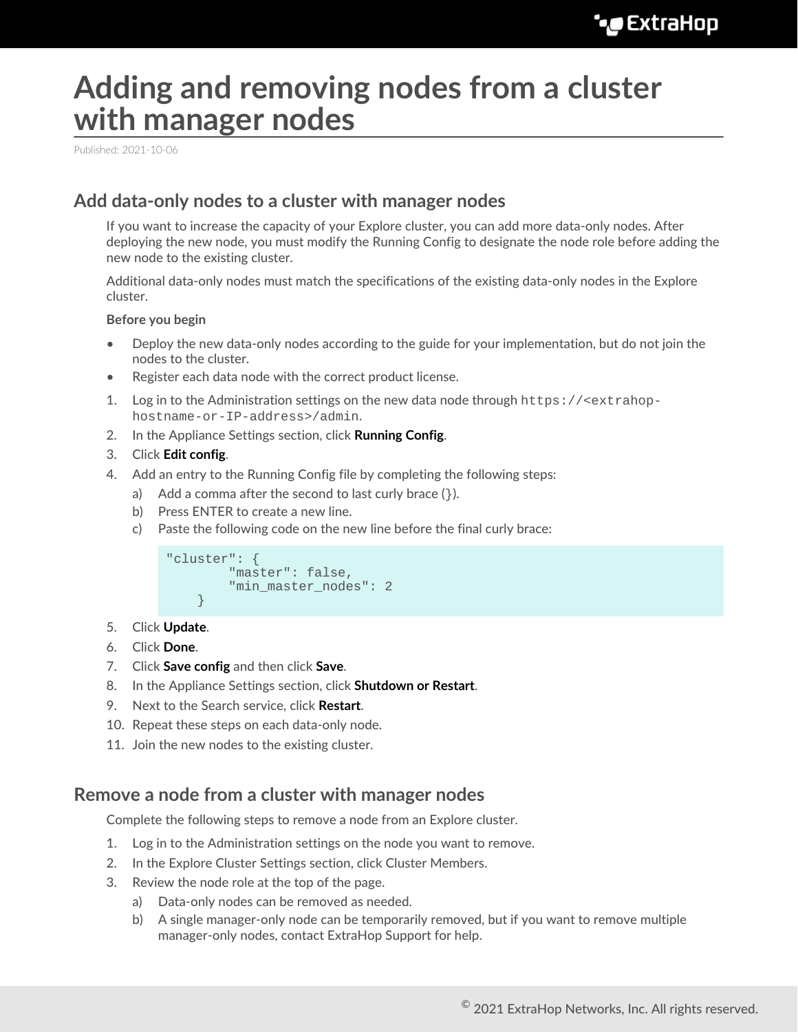## **Adding and removing nodes from a cluster with manager nodes**

Published: 2021-10-06

## **Add data-only nodes to a cluster with manager nodes**

If you want to increase the capacity of your Explore cluster, you can add more data-only nodes. After deploying the new node, you must modify the Running Config to designate the node role before adding the new node to the existing cluster.

Additional data-only nodes must match the specifications of the existing data-only nodes in the Explore cluster.

## **Before you begin**

- Deploy the new data-only nodes according to the guide for your implementation, but do not join the nodes to the cluster.
- Register each data node with the correct product license.
- 1. Log in to the Administration settings on the new data node through https://<extrahophostname-or-IP-address>/admin.
- 2. In the Appliance Settings section, click **Running Config**.
- 3. Click **Edit config**.
- 4. Add an entry to the Running Config file by completing the following steps:
	- a) Add a comma after the second to last curly brace  $($ }).
	- b) Press ENTER to create a new line.
	- c) Paste the following code on the new line before the final curly brace:

```
"cluster": {
   "master": false,
    "min_master_nodes": 2
}
```
- 5. Click **Update**.
- 6. Click **Done**.
- 7. Click **Save config** and then click **Save**.
- 8. In the Appliance Settings section, click **Shutdown or Restart**.
- 9. Next to the Search service, click **Restart**.
- 10. Repeat these steps on each data-only node.
- 11. Join the new nodes to the existing cluster.

## **Remove a node from a cluster with manager nodes**

Complete the following steps to remove a node from an Explore cluster.

- 1. Log in to the Administration settings on the node you want to remove.
- 2. In the Explore Cluster Settings section, click Cluster Members.
- 3. Review the node role at the top of the page.
	- a) Data-only nodes can be removed as needed.
	- b) A single manager-only node can be temporarily removed, but if you want to remove multiple manager-only nodes, contact ExtraHop Support for help.